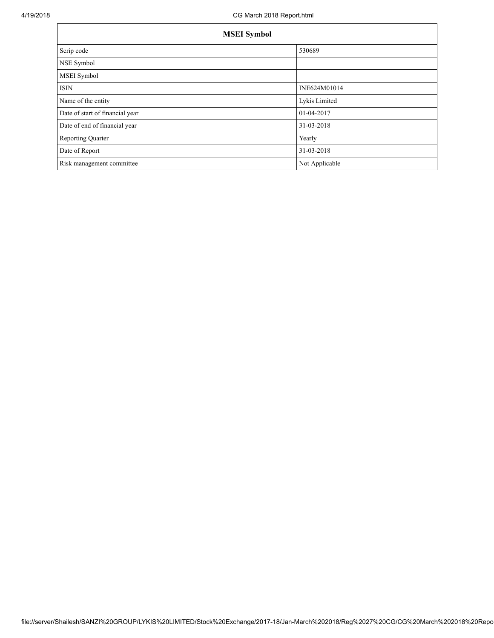| <b>MSEI</b> Symbol              |                |  |  |  |
|---------------------------------|----------------|--|--|--|
| Scrip code                      | 530689         |  |  |  |
| NSE Symbol                      |                |  |  |  |
| MSEI Symbol                     |                |  |  |  |
| <b>ISIN</b>                     | INE624M01014   |  |  |  |
| Name of the entity              | Lykis Limited  |  |  |  |
| Date of start of financial year | 01-04-2017     |  |  |  |
| Date of end of financial year   | 31-03-2018     |  |  |  |
| <b>Reporting Quarter</b>        | Yearly         |  |  |  |
| Date of Report                  | 31-03-2018     |  |  |  |
| Risk management committee       | Not Applicable |  |  |  |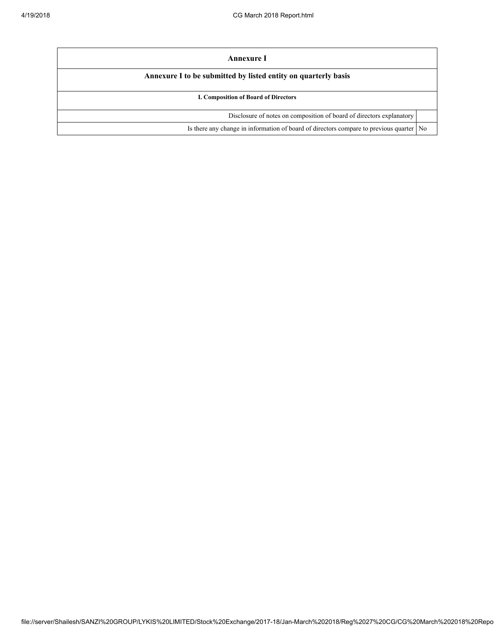| Annexure I                                                                                |  |  |  |  |
|-------------------------------------------------------------------------------------------|--|--|--|--|
| Annexure I to be submitted by listed entity on quarterly basis                            |  |  |  |  |
| I. Composition of Board of Directors                                                      |  |  |  |  |
| Disclosure of notes on composition of board of directors explanatory                      |  |  |  |  |
| Is there any change in information of board of directors compare to previous quarter   No |  |  |  |  |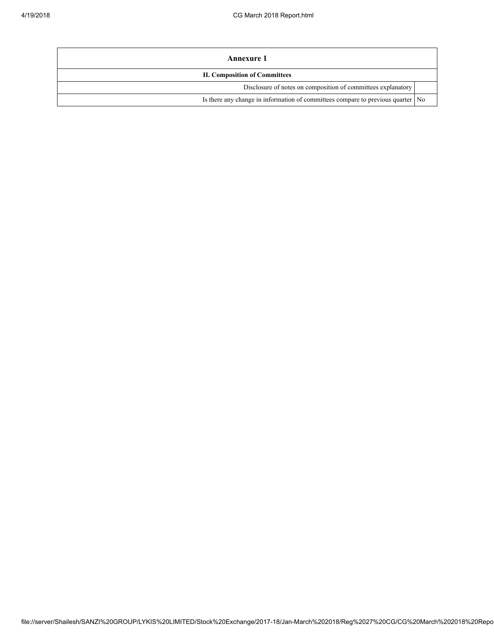| Annexure 1                                                                        |  |  |
|-----------------------------------------------------------------------------------|--|--|
| <b>II. Composition of Committees</b>                                              |  |  |
| Disclosure of notes on composition of committees explanatory                      |  |  |
| Is there any change in information of committees compare to previous quarter   No |  |  |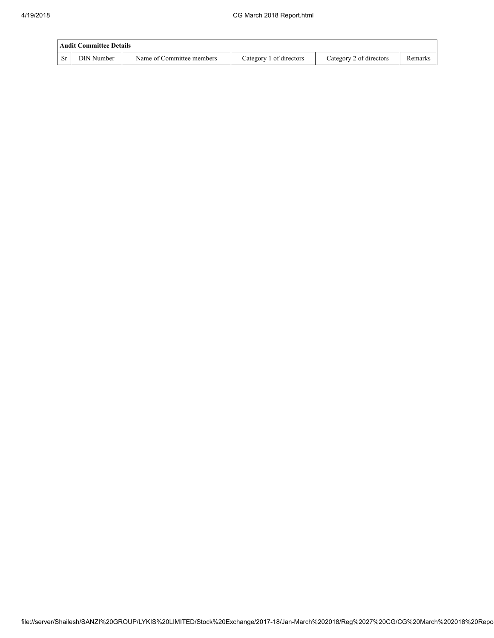| Audit Committee Details |                   |                           |                         |                         |         |  |
|-------------------------|-------------------|---------------------------|-------------------------|-------------------------|---------|--|
| <b>Sr</b>               | <b>DIN Number</b> | Name of Committee members | Category 1 of directors | Category 2 of directors | Remarks |  |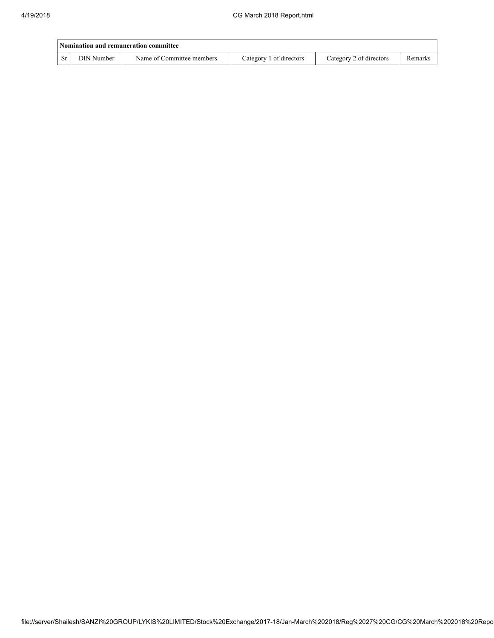| Nomination and remuneration committee |            |                           |                         |                         |         |  |
|---------------------------------------|------------|---------------------------|-------------------------|-------------------------|---------|--|
|                                       | DIN Number | Name of Committee members | Category 1 of directors | Category 2 of directors | Remarks |  |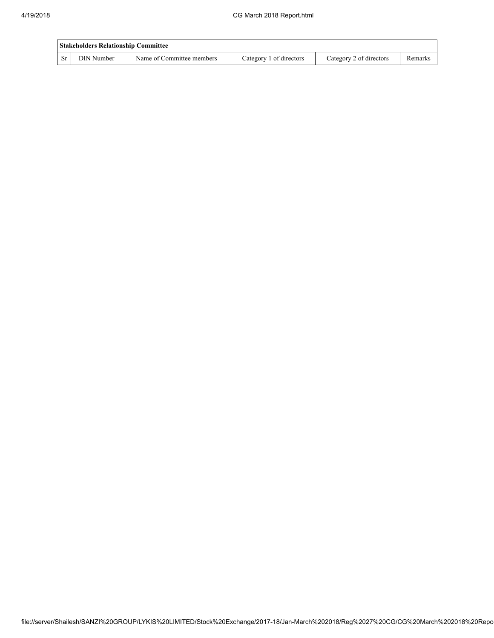| <b>Stakeholders Relationship Committee</b> |            |                           |                         |                         |         |  |
|--------------------------------------------|------------|---------------------------|-------------------------|-------------------------|---------|--|
| -Sr                                        | DIN Number | Name of Committee members | Category 1 of directors | Category 2 of directors | Remarks |  |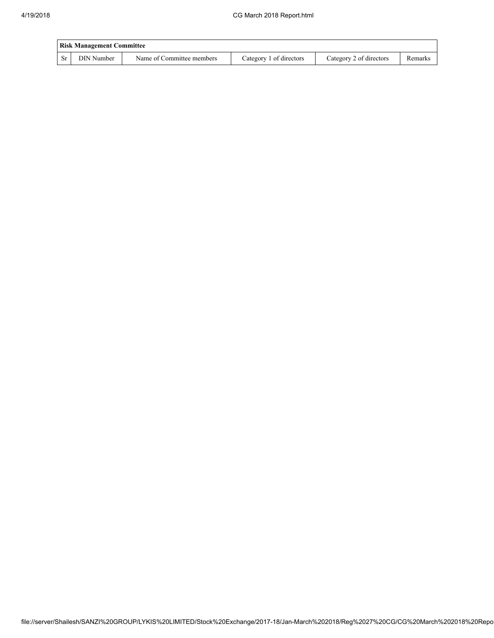| <b>Risk Management Committee</b> |            |                           |                         |                         |         |  |
|----------------------------------|------------|---------------------------|-------------------------|-------------------------|---------|--|
| <b>Sr</b>                        | DIN Number | Name of Committee members | Category 1 of directors | Category 2 of directors | Remarks |  |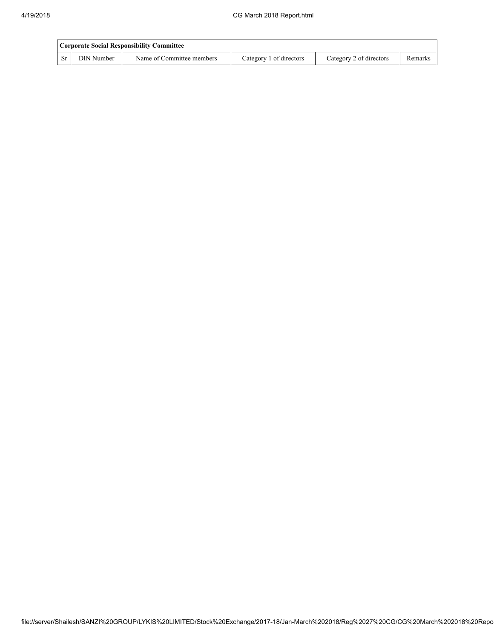| Corporate Social Responsibility Committee |            |                           |                         |                         |         |  |
|-------------------------------------------|------------|---------------------------|-------------------------|-------------------------|---------|--|
| <b>Sr</b>                                 | DIN Number | Name of Committee members | Category 1 of directors | Category 2 of directors | Remarks |  |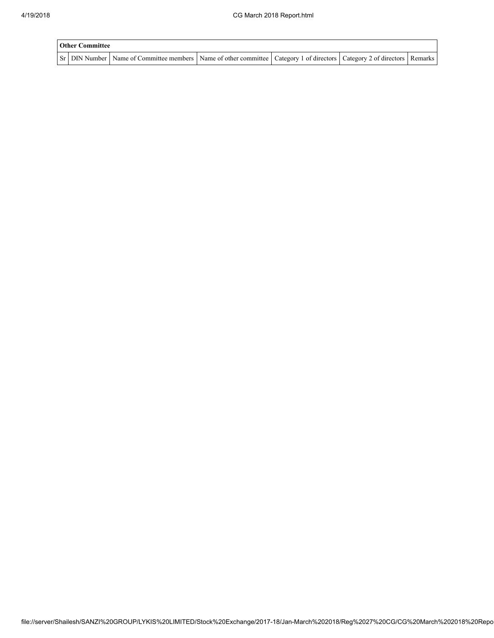| <b>Other Committee</b> |                                                                                                                                     |  |  |  |  |  |
|------------------------|-------------------------------------------------------------------------------------------------------------------------------------|--|--|--|--|--|
|                        | Sr   DIN Number   Name of Committee members   Name of other committee   Category 1 of directors   Category 2 of directors   Remarks |  |  |  |  |  |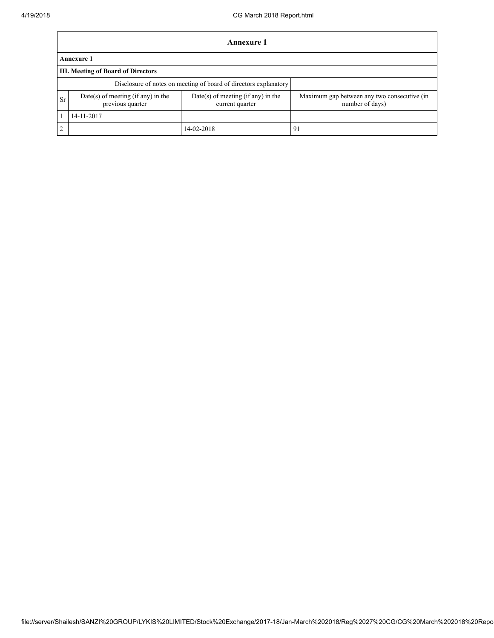$\mathbf{r}$ 

|           | Annexure 1                                             |                                                                  |                                                                |  |  |  |  |
|-----------|--------------------------------------------------------|------------------------------------------------------------------|----------------------------------------------------------------|--|--|--|--|
|           | <b>Annexure 1</b>                                      |                                                                  |                                                                |  |  |  |  |
|           | III. Meeting of Board of Directors                     |                                                                  |                                                                |  |  |  |  |
|           |                                                        | Disclosure of notes on meeting of board of directors explanatory |                                                                |  |  |  |  |
| <b>Sr</b> | Date(s) of meeting (if any) in the<br>previous quarter | Date(s) of meeting (if any) in the<br>current quarter            | Maximum gap between any two consecutive (in<br>number of days) |  |  |  |  |
|           | 14-11-2017                                             |                                                                  |                                                                |  |  |  |  |
| 2         |                                                        | 14-02-2018                                                       | 91                                                             |  |  |  |  |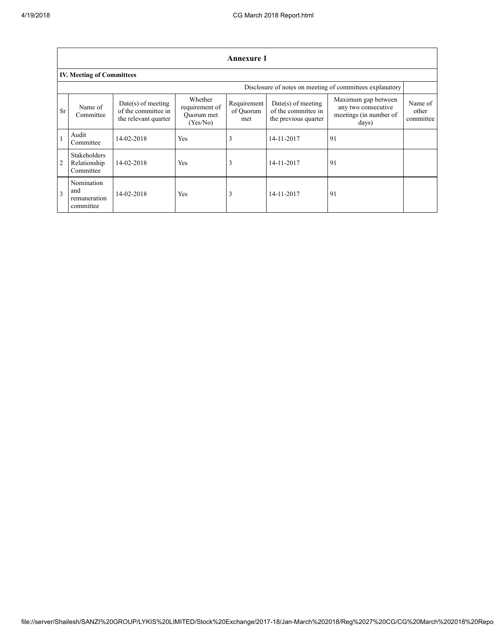|                                                          | <b>Annexure 1</b>                                |                                                                     |                                                     |                                 |                                                                     |                                                                               |                               |  |  |
|----------------------------------------------------------|--------------------------------------------------|---------------------------------------------------------------------|-----------------------------------------------------|---------------------------------|---------------------------------------------------------------------|-------------------------------------------------------------------------------|-------------------------------|--|--|
|                                                          | <b>IV. Meeting of Committees</b>                 |                                                                     |                                                     |                                 |                                                                     |                                                                               |                               |  |  |
| Disclosure of notes on meeting of committees explanatory |                                                  |                                                                     |                                                     |                                 |                                                                     |                                                                               |                               |  |  |
| <b>Sr</b>                                                | Name of<br>Committee                             | $Date(s)$ of meeting<br>of the committee in<br>the relevant quarter | Whether<br>requirement of<br>Ouorum met<br>(Yes/No) | Requirement<br>of Ouorum<br>met | $Date(s)$ of meeting<br>of the committee in<br>the previous quarter | Maximum gap between<br>any two consecutive<br>meetings (in number of<br>days) | Name of<br>other<br>committee |  |  |
|                                                          | Audit<br>Committee                               | 14-02-2018                                                          | Yes                                                 | 3                               | 14-11-2017                                                          | 91                                                                            |                               |  |  |
| $\overline{2}$                                           | <b>Stakeholders</b><br>Relationship<br>Committee | 14-02-2018                                                          | Yes                                                 | $\rightarrow$                   | 14-11-2017                                                          | 91                                                                            |                               |  |  |
| $\mathbf{3}$                                             | Nomination<br>and<br>remuneration<br>committee   | 14-02-2018                                                          | Yes                                                 | 3                               | 14-11-2017                                                          | 91                                                                            |                               |  |  |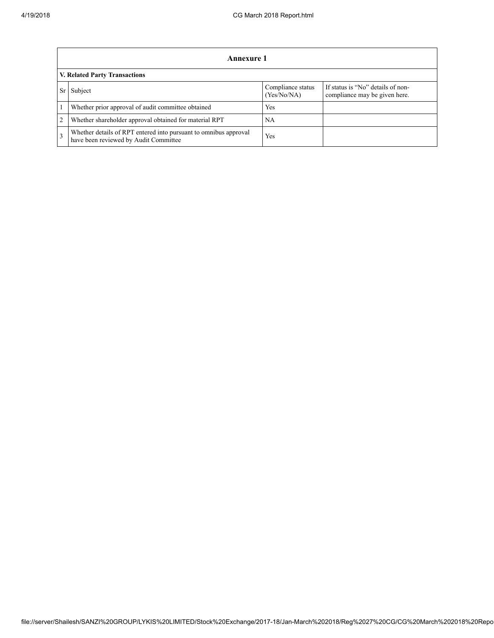|               | Annexure 1                                                                                                |                                  |                                                                    |  |  |  |
|---------------|-----------------------------------------------------------------------------------------------------------|----------------------------------|--------------------------------------------------------------------|--|--|--|
|               | V. Related Party Transactions                                                                             |                                  |                                                                    |  |  |  |
|               | Subject                                                                                                   | Compliance status<br>(Yes/No/NA) | If status is "No" details of non-<br>compliance may be given here. |  |  |  |
|               | Whether prior approval of audit committee obtained                                                        | Yes                              |                                                                    |  |  |  |
| 2             | Whether shareholder approval obtained for material RPT                                                    | NA                               |                                                                    |  |  |  |
| $\mathcal{R}$ | Whether details of RPT entered into pursuant to omnibus approval<br>have been reviewed by Audit Committee | Yes                              |                                                                    |  |  |  |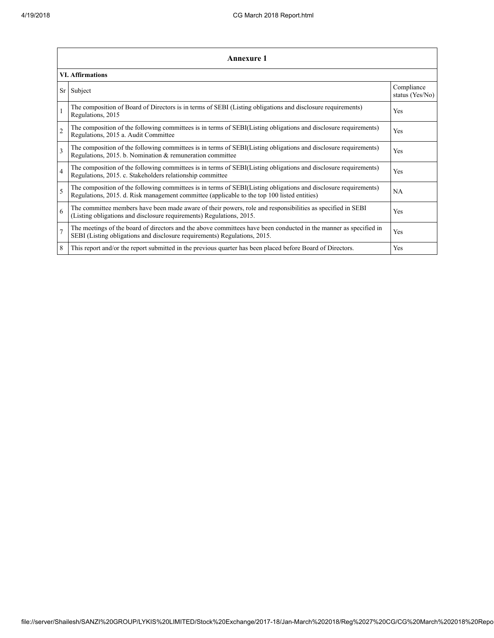|                         | <b>Annexure 1</b>                                                                                                                                                                                               |                               |  |  |
|-------------------------|-----------------------------------------------------------------------------------------------------------------------------------------------------------------------------------------------------------------|-------------------------------|--|--|
|                         | <b>VI. Affirmations</b>                                                                                                                                                                                         |                               |  |  |
| Sr                      | Subject                                                                                                                                                                                                         | Compliance<br>status (Yes/No) |  |  |
|                         | The composition of Board of Directors is in terms of SEBI (Listing obligations and disclosure requirements)<br>Regulations, 2015                                                                                | Yes                           |  |  |
| $\overline{2}$          | The composition of the following committees is in terms of SEBI(Listing obligations and disclosure requirements)<br>Regulations, 2015 a. Audit Committee                                                        | Yes                           |  |  |
| $\overline{\mathbf{3}}$ | The composition of the following committees is in terms of SEBI(Listing obligations and disclosure requirements)<br>Regulations, 2015. b. Nomination & remuneration committee                                   | Yes                           |  |  |
| $\overline{4}$          | The composition of the following committees is in terms of SEBI(Listing obligations and disclosure requirements)<br>Regulations, 2015. c. Stakeholders relationship committee                                   | Yes                           |  |  |
| 5                       | The composition of the following committees is in terms of SEBI(Listing obligations and disclosure requirements)<br>Regulations, 2015. d. Risk management committee (applicable to the top 100 listed entities) | NA                            |  |  |
| 6                       | The committee members have been made aware of their powers, role and responsibilities as specified in SEBI<br>(Listing obligations and disclosure requirements) Regulations, 2015.                              | Yes                           |  |  |
| $\overline{7}$          | The meetings of the board of directors and the above committees have been conducted in the manner as specified in<br>SEBI (Listing obligations and disclosure requirements) Regulations, 2015.                  | Yes                           |  |  |
| 8                       | This report and/or the report submitted in the previous quarter has been placed before Board of Directors.                                                                                                      | Yes                           |  |  |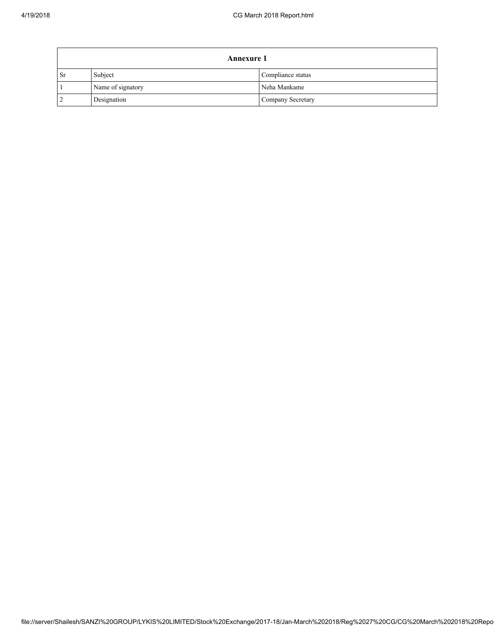| <b>Annexure 1</b> |                   |                   |  |
|-------------------|-------------------|-------------------|--|
| <b>Sr</b>         | Subject           | Compliance status |  |
|                   | Name of signatory | Neha Mankame      |  |
| $\overline{2}$    | Designation       | Company Secretary |  |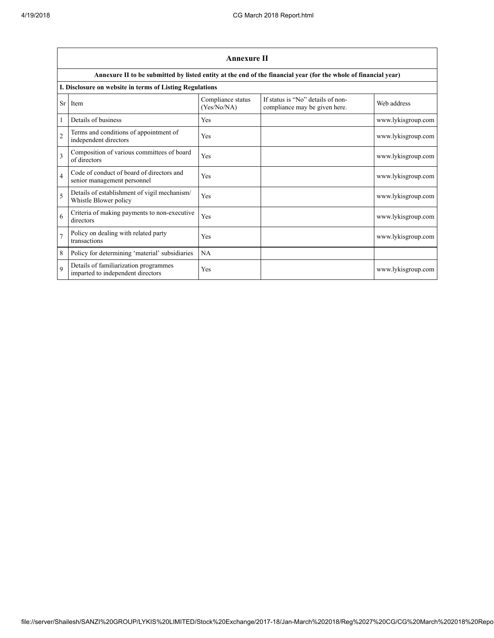|                | <b>Annexure II</b>                                                         |                                  |                                                                                                                 |                    |  |  |
|----------------|----------------------------------------------------------------------------|----------------------------------|-----------------------------------------------------------------------------------------------------------------|--------------------|--|--|
|                |                                                                            |                                  | Annexure II to be submitted by listed entity at the end of the financial year (for the whole of financial year) |                    |  |  |
|                | I. Disclosure on website in terms of Listing Regulations                   |                                  |                                                                                                                 |                    |  |  |
| Sr             | Item                                                                       | Compliance status<br>(Yes/No/NA) | If status is "No" details of non-<br>compliance may be given here.                                              | Web address        |  |  |
|                | Details of business                                                        | Yes                              |                                                                                                                 | www.lykisgroup.com |  |  |
| $\overline{2}$ | Terms and conditions of appointment of<br>independent directors            | Yes                              |                                                                                                                 | www.lykisgroup.com |  |  |
| $\mathbf{3}$   | Composition of various committees of board<br>of directors                 | Yes                              |                                                                                                                 | www.lykisgroup.com |  |  |
| $\overline{4}$ | Code of conduct of board of directors and<br>senior management personnel   | Yes                              |                                                                                                                 | www.lykisgroup.com |  |  |
| 5              | Details of establishment of vigil mechanism/<br>Whistle Blower policy      | Yes                              |                                                                                                                 | www.lykisgroup.com |  |  |
| 6              | Criteria of making payments to non-executive<br>directors                  | Yes                              |                                                                                                                 | www.lykisgroup.com |  |  |
| $\overline{7}$ | Policy on dealing with related party<br>transactions                       | Yes                              |                                                                                                                 | www.lykisgroup.com |  |  |
| 8              | Policy for determining 'material' subsidiaries                             | NA                               |                                                                                                                 |                    |  |  |
| $\mathbf Q$    | Details of familiarization programmes<br>imparted to independent directors | Yes                              |                                                                                                                 | www.lykisgroup.com |  |  |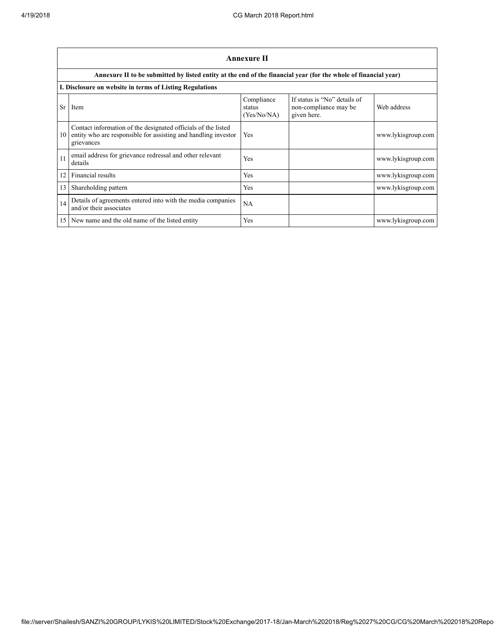|           | Annexure II                                                                                                                                   |                                     |                                                                      |                    |  |
|-----------|-----------------------------------------------------------------------------------------------------------------------------------------------|-------------------------------------|----------------------------------------------------------------------|--------------------|--|
|           | Annexure II to be submitted by listed entity at the end of the financial year (for the whole of financial year)                               |                                     |                                                                      |                    |  |
|           | I. Disclosure on website in terms of Listing Regulations                                                                                      |                                     |                                                                      |                    |  |
| <b>Sr</b> | Item                                                                                                                                          | Compliance<br>status<br>(Yes/No/NA) | If status is "No" details of<br>non-compliance may be<br>given here. | Web address        |  |
| 10        | Contact information of the designated officials of the listed<br>entity who are responsible for assisting and handling investor<br>grievances | Yes                                 |                                                                      | www.lykisgroup.com |  |
| 11        | email address for grievance redressal and other relevant<br>details                                                                           | Yes                                 |                                                                      | www.lykisgroup.com |  |
| 12        | Financial results                                                                                                                             | Yes                                 |                                                                      | www.lykisgroup.com |  |
| 13        | Shareholding pattern                                                                                                                          | Yes                                 |                                                                      | www.lykisgroup.com |  |
| 14        | Details of agreements entered into with the media companies<br>and/or their associates                                                        | NA                                  |                                                                      |                    |  |
|           | 15 New name and the old name of the listed entity                                                                                             | Yes                                 |                                                                      | www.lykisgroup.com |  |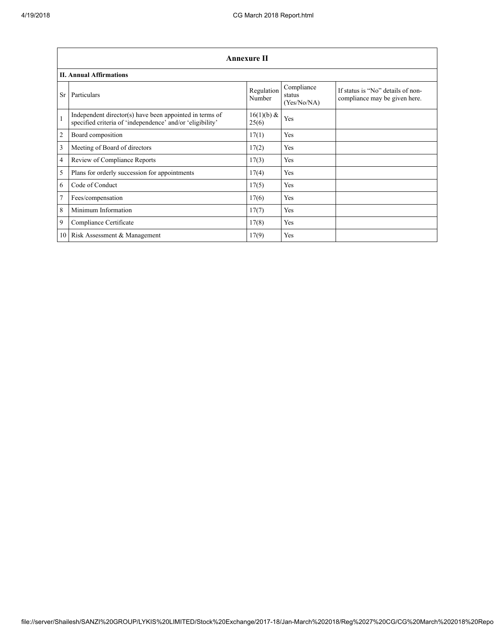|                 | <b>Annexure II</b>                                                                                                   |                        |                                     |                                                                    |  |
|-----------------|----------------------------------------------------------------------------------------------------------------------|------------------------|-------------------------------------|--------------------------------------------------------------------|--|
|                 | <b>II. Annual Affirmations</b>                                                                                       |                        |                                     |                                                                    |  |
| <b>Sr</b>       | Particulars                                                                                                          | Regulation<br>Number   | Compliance<br>status<br>(Yes/No/NA) | If status is "No" details of non-<br>compliance may be given here. |  |
| $\mathbf{1}$    | Independent director(s) have been appointed in terms of<br>specified criteria of 'independence' and/or 'eligibility' | $16(1)(b) \&$<br>25(6) | Yes                                 |                                                                    |  |
| $\overline{2}$  | Board composition                                                                                                    | 17(1)                  | Yes                                 |                                                                    |  |
| 3               | Meeting of Board of directors                                                                                        | 17(2)                  | Yes                                 |                                                                    |  |
| $\overline{4}$  | Review of Compliance Reports                                                                                         | 17(3)                  | Yes                                 |                                                                    |  |
| 5               | Plans for orderly succession for appointments                                                                        | 17(4)                  | Yes                                 |                                                                    |  |
| 6               | Code of Conduct                                                                                                      | 17(5)                  | Yes                                 |                                                                    |  |
| $7\phantom{.0}$ | Fees/compensation                                                                                                    | 17(6)                  | Yes                                 |                                                                    |  |
| 8               | Minimum Information                                                                                                  | 17(7)                  | Yes                                 |                                                                    |  |
| 9               | Compliance Certificate                                                                                               | 17(8)                  | Yes                                 |                                                                    |  |
| 10 <sup>1</sup> | Risk Assessment & Management                                                                                         | 17(9)                  | Yes                                 |                                                                    |  |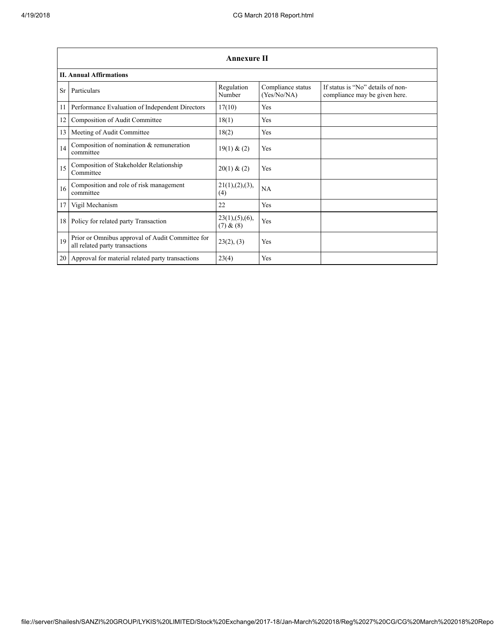|                 | <b>Annexure II</b>                                                                 |                               |                                  |                                                                    |  |
|-----------------|------------------------------------------------------------------------------------|-------------------------------|----------------------------------|--------------------------------------------------------------------|--|
|                 | <b>II. Annual Affirmations</b>                                                     |                               |                                  |                                                                    |  |
| <b>Sr</b>       | Particulars                                                                        | Regulation<br>Number          | Compliance status<br>(Yes/No/NA) | If status is "No" details of non-<br>compliance may be given here. |  |
| 11              | Performance Evaluation of Independent Directors                                    | 17(10)                        | Yes                              |                                                                    |  |
| 12              | Composition of Audit Committee                                                     | 18(1)                         | Yes                              |                                                                    |  |
| 13              | Meeting of Audit Committee                                                         | 18(2)                         | Yes                              |                                                                    |  |
| 14              | Composition of nomination & remuneration<br>committee                              | 19(1) & (2)                   | Yes                              |                                                                    |  |
| 15              | Composition of Stakeholder Relationship<br>Committee                               | 20(1) & (2)                   | Yes                              |                                                                    |  |
| 16              | Composition and role of risk management<br>committee                               | 21(1), (2), (3),<br>(4)       | NA                               |                                                                    |  |
| 17              | Vigil Mechanism                                                                    | 22                            | Yes                              |                                                                    |  |
| 18 <sup>1</sup> | Policy for related party Transaction                                               | 23(1), (5), (6),<br>(7) & (8) | Yes                              |                                                                    |  |
| 19              | Prior or Omnibus approval of Audit Committee for<br>all related party transactions | 23(2), (3)                    | Yes                              |                                                                    |  |
|                 | 20 Approval for material related party transactions                                | 23(4)                         | Yes                              |                                                                    |  |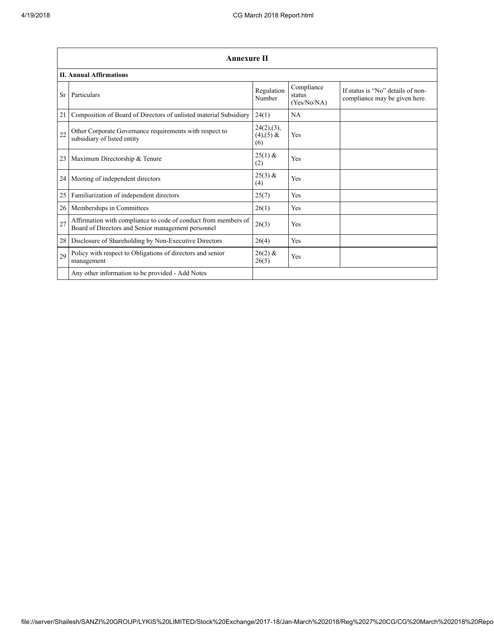|                 | <b>Annexure II</b>                                                                                                   |                                      |                                     |                                                                    |
|-----------------|----------------------------------------------------------------------------------------------------------------------|--------------------------------------|-------------------------------------|--------------------------------------------------------------------|
|                 | <b>II. Annual Affirmations</b>                                                                                       |                                      |                                     |                                                                    |
| Sr              | Particulars                                                                                                          | Regulation<br>Number                 | Compliance<br>status<br>(Yes/No/NA) | If status is "No" details of non-<br>compliance may be given here. |
| 21              | Composition of Board of Directors of unlisted material Subsidiary                                                    | 24(1)                                | NA                                  |                                                                    |
| 22              | Other Corporate Governance requirements with respect to<br>subsidiary of listed entity                               | 24(2),(3),<br>$(4)$ , $(5)$ &<br>(6) | Yes                                 |                                                                    |
| 23 <sup>1</sup> | Maximum Directorship & Tenure                                                                                        | $25(1)$ &<br>(2)                     | Yes                                 |                                                                    |
| 24              | Meeting of independent directors                                                                                     | $25(3) \&$<br>(4)                    | Yes                                 |                                                                    |
| 25              | Familiarization of independent directors                                                                             | 25(7)                                | Yes                                 |                                                                    |
| 26              | Memberships in Committees                                                                                            | 26(1)                                | Yes                                 |                                                                    |
| 27              | Affirmation with compliance to code of conduct from members of<br>Board of Directors and Senior management personnel | 26(3)                                | Yes                                 |                                                                    |
| 28              | Disclosure of Shareholding by Non-Executive Directors                                                                | 26(4)                                | Yes                                 |                                                                    |
| 29              | Policy with respect to Obligations of directors and senior<br>management                                             | $26(2)$ &<br>26(5)                   | Yes                                 |                                                                    |
|                 | Any other information to be provided - Add Notes                                                                     |                                      |                                     |                                                                    |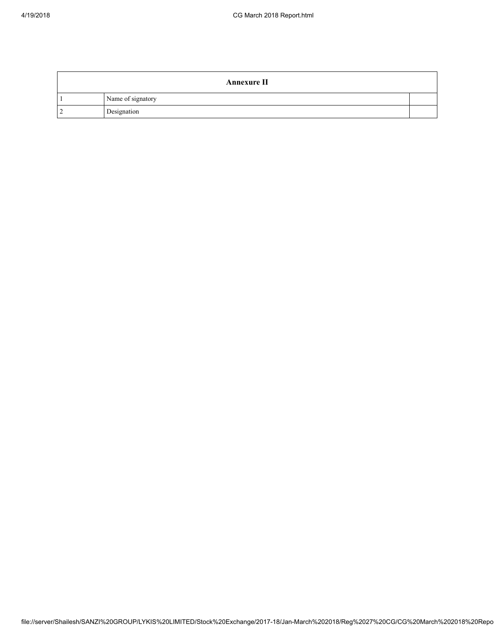| <b>Annexure II</b> |  |
|--------------------|--|
| Name of signatory  |  |
| Designation        |  |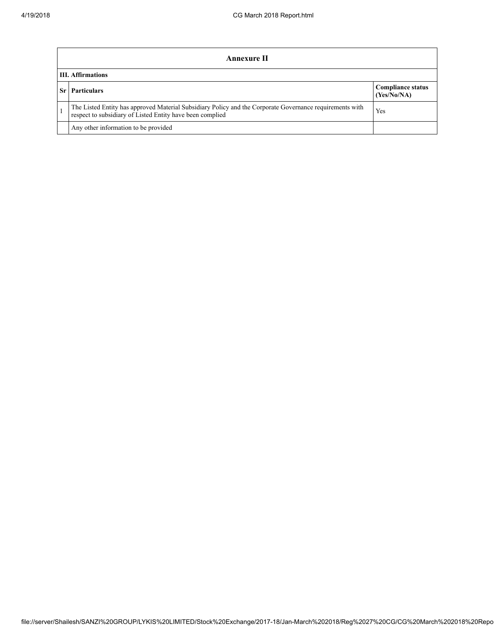| Annexure II                                                                                                                                                           |                                         |  |  |
|-----------------------------------------------------------------------------------------------------------------------------------------------------------------------|-----------------------------------------|--|--|
| <b>III.</b> Affirmations                                                                                                                                              |                                         |  |  |
| <b>Particulars</b>                                                                                                                                                    | <b>Compliance status</b><br>(Yes/No/NA) |  |  |
| The Listed Entity has approved Material Subsidiary Policy and the Corporate Governance requirements with<br>respect to subsidiary of Listed Entity have been complied | Yes                                     |  |  |
| Any other information to be provided                                                                                                                                  |                                         |  |  |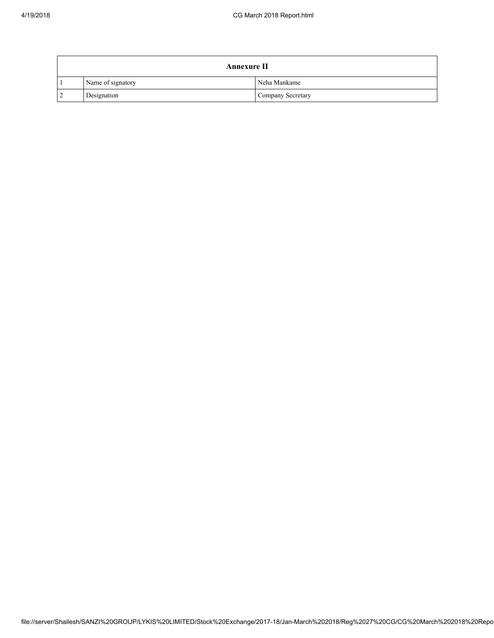|           | <b>Annexure II</b> |                   |  |  |
|-----------|--------------------|-------------------|--|--|
|           | Name of signatory  | Neha Mankame      |  |  |
| $\cdot$ 2 | Designation        | Company Secretary |  |  |